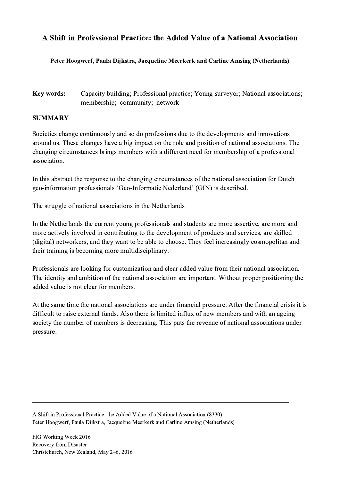## A Shift in Professional Practice: the Added Value of a National Association

## Peter Hoogwerf, Paula Dijkstra, Jacqueline Meerkerk and Carline Amsing (Netherlands)

Key words: Capacity building; Professional practice; Young surveyor; National associations; membership; community; network

## SUMMARY

Societies change continuously and so do professions due to the developments and innovations around us. These changes have a big impact on the role and position of national associations. The changing circumstances brings members with a different need for membership of a professional association.

In this abstract the response to the changing circumstances of the national association for Dutch geo-information professionals 'Geo-Informatie Nederland' (GIN) is described.

The struggle of national associations in the Netherlands

In the Netherlands the current young professionals and students are more assertive, are more and more actively involved in contributing to the development of products and services, are skilled (digital) networkers, and they want to be able to choose. They feel increasingly cosmopolitan and their training is becoming more multidisciplinary.

Professionals are looking for customization and clear added value from their national association. The identity and ambition of the national association are important. Without proper positioning the added value is not clear for members.

At the same time the national associations are under financial pressure. After the financial crisis it is difficult to raise external funds. Also there is limited influx of new members and with an ageing society the number of members is decreasing. This puts the revenue of national associations under pressure.

 $\mathcal{L}_\mathcal{L} = \{ \mathcal{L}_\mathcal{L} = \{ \mathcal{L}_\mathcal{L} = \{ \mathcal{L}_\mathcal{L} = \{ \mathcal{L}_\mathcal{L} = \{ \mathcal{L}_\mathcal{L} = \{ \mathcal{L}_\mathcal{L} = \{ \mathcal{L}_\mathcal{L} = \{ \mathcal{L}_\mathcal{L} = \{ \mathcal{L}_\mathcal{L} = \{ \mathcal{L}_\mathcal{L} = \{ \mathcal{L}_\mathcal{L} = \{ \mathcal{L}_\mathcal{L} = \{ \mathcal{L}_\mathcal{L} = \{ \mathcal{L}_\mathcal{$ 

A Shift in Professional Practice: the Added Value of a National Association (8330) Peter Hoogwerf, Paula Dijkstra, Jacqueline Meerkerk and Carline Amsing (Netherlands)